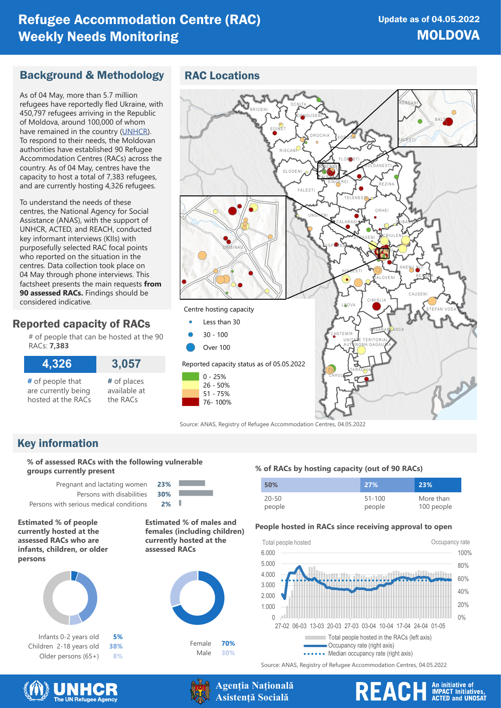# Refugee Accommodation Centre (RAC) Weekly Needs Monitoring

### Background & Methodology

As of 04 May, more than 5.7 million refugees have reportedly fled Ukraine, with 450,797 refugees arriving in the Republic of Moldova, around 100,000 of whom have remained in the country ([UNHCR](https://data2.unhcr.org/en/situations/ukraine)). To respond to their needs, the Moldovan authorities have established 90 Refugee Accommodation Centres (RACs) across the country. As of 04 May, centres have the capacity to host a total of 7,383 refugees, and are currently hosting 4,326 refugees.

To understand the needs of these centres, the National Agency for Social Assistance (ANAS), with the support of UNHCR, ACTED, and REACH, conducted key informant interviews (KIIs) with purposefully selected RAC focal points who reported on the situation in the centres. Data collection took place on 04 May through phone interviews. This factsheet presents the main requests **from 90 assessed RACs.** Findings should be considered indicative.

### Reported capacity of RACs

# of people that can be hosted at the 90 RACs: **7,383**

| 4,326               | 3,057        |  |  |
|---------------------|--------------|--|--|
| # of people that    | # of places  |  |  |
| are currently being | available at |  |  |
| hosted at the RACs  | the RACs     |  |  |

### RAC Locations



Source: ANAS, Registry of Refugee Accommodation Centres, 04.05.2022

## Key information

#### **% of assessed RACs with the following vulnerable groups currently present**

Pregnant and lactating women **23%** Persons with disabilities **30%** Persons with serious medical conditions **2%**

**Estimated % of people currently hosted at the assessed RACs who are infants, children, or older persons**





 $\equiv$ **Estimated % of males and females (including children)** 

**currently hosted at the assessed RACs**



# Male **30%**

### **% of RACs by hosting capacity (out of 90 RACs)**

| 50%       | 27%        | 23%        |
|-----------|------------|------------|
| $20 - 50$ | $51 - 100$ | More than  |
| people    | people     | 100 people |

#### **People hosted in RACs since receiving approval to open**



Source: ANAS, Registry of Refugee Accommodation Centres, 04.05.2022

REACH An initiative of



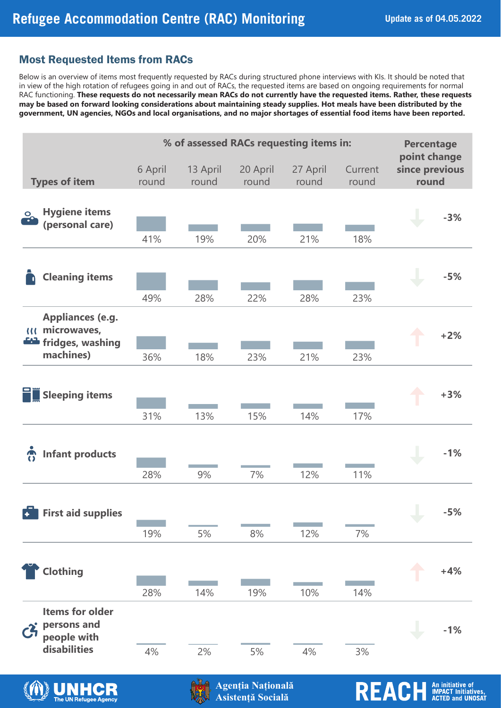### Most Requested Items from RACs

|                                                                                                                                                                                                                                                                                                                                                                                                                                                                                                                                                                                                                                                                                                                 |                  | efugee Accommodation Centre (RAC) Monitoring |                   |                   |                   | <b>Update as of 04.05.202</b>           |       |
|-----------------------------------------------------------------------------------------------------------------------------------------------------------------------------------------------------------------------------------------------------------------------------------------------------------------------------------------------------------------------------------------------------------------------------------------------------------------------------------------------------------------------------------------------------------------------------------------------------------------------------------------------------------------------------------------------------------------|------------------|----------------------------------------------|-------------------|-------------------|-------------------|-----------------------------------------|-------|
| <b>Most Requested Items from RACs</b><br>Below is an overview of items most frequently requested by RACs during structured phone interviews with KIs. It should be noted that<br>in view of the high rotation of refugees going in and out of RACs, the requested items are based on ongoing requirements for normal<br>RAC functioning. These requests do not necessarily mean RACs do not currently have the requested items. Rather, these requests<br>may be based on forward looking considerations about maintaining steady supplies. Hot meals have been distributed by the<br>government, UN agencies, NGOs and local organisations, and no major shortages of essential food items have been reported. |                  |                                              |                   |                   |                   |                                         |       |
|                                                                                                                                                                                                                                                                                                                                                                                                                                                                                                                                                                                                                                                                                                                 |                  | % of assessed RACs requesting items in:      |                   |                   | <b>Percentage</b> |                                         |       |
| <b>Types of item</b>                                                                                                                                                                                                                                                                                                                                                                                                                                                                                                                                                                                                                                                                                            | 6 April<br>round | 13 April<br>round                            | 20 April<br>round | 27 April<br>round | Current<br>round  | point change<br>since previous<br>round |       |
| <b>Hygiene items</b><br>(personal care)                                                                                                                                                                                                                                                                                                                                                                                                                                                                                                                                                                                                                                                                         | 41%              | 19%                                          | 20%               | 21%               | 18%               |                                         | $-3%$ |
| <b>Cleaning items</b>                                                                                                                                                                                                                                                                                                                                                                                                                                                                                                                                                                                                                                                                                           | 49%              | 28%                                          | 22%               | 28%               | 23%               |                                         | $-5%$ |
| <b>Appliances (e.g.</b><br>microwaves,<br>$\alpha$<br>ا التا التاريخ<br>التاريخ<br>fridges, washing<br>machines)                                                                                                                                                                                                                                                                                                                                                                                                                                                                                                                                                                                                | 36%              | 18%                                          | 23%               | 21%               | 23%               |                                         | $+2%$ |
| <b>Sleeping items</b>                                                                                                                                                                                                                                                                                                                                                                                                                                                                                                                                                                                                                                                                                           | 31%              | 13%                                          | 15%               | 14%               | 17%               |                                         | $+3%$ |
| <b>Infant products</b><br>О                                                                                                                                                                                                                                                                                                                                                                                                                                                                                                                                                                                                                                                                                     | 28%              | 9%                                           | 7%                | 12%               | 11%               |                                         | $-1%$ |
| <b>First aid supplies</b>                                                                                                                                                                                                                                                                                                                                                                                                                                                                                                                                                                                                                                                                                       | 19%              | 5%                                           | 8%                | 12%               | 7%                |                                         | $-5%$ |
| <b>Clothing</b>                                                                                                                                                                                                                                                                                                                                                                                                                                                                                                                                                                                                                                                                                                 | 28%              | 14%                                          | 19%               | 10%               | 14%               |                                         | $+4%$ |
| <b>Items for older</b><br>persons and<br>people with                                                                                                                                                                                                                                                                                                                                                                                                                                                                                                                                                                                                                                                            |                  |                                              |                   |                   |                   |                                         | $-1%$ |